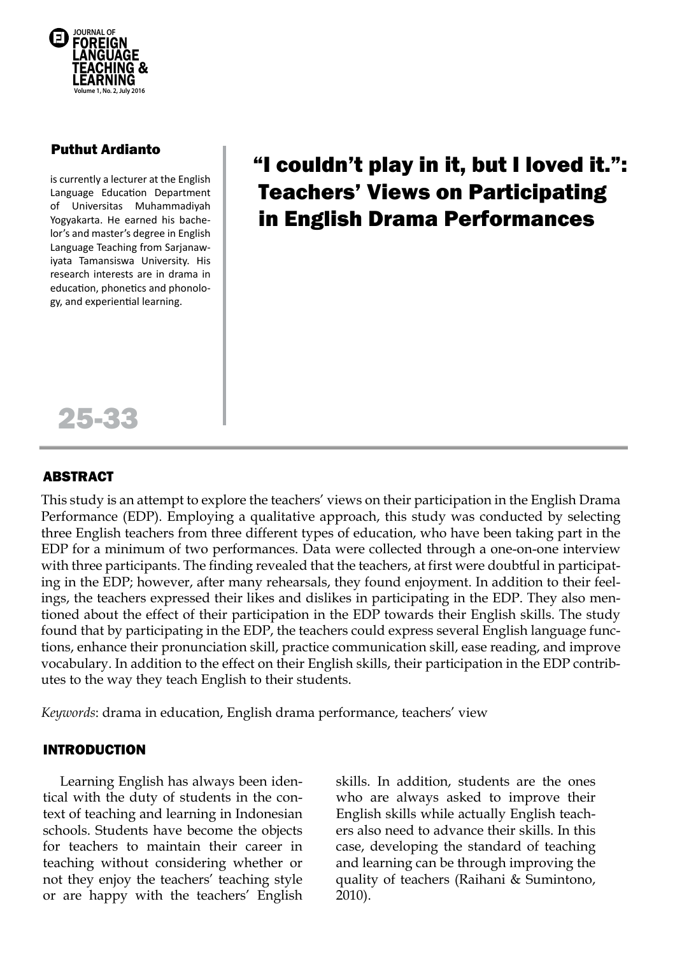

# Puthut Ardianto

is currently a lecturer at the English Language Education Department of Universitas Muhammadiyah Yogyakarta. He earned his bachelor's and master's degree in English Language Teaching from Sarjanawiyata Tamansiswa University. His research interests are in drama in education, phonetics and phonology, and experiential learning.

# "I couldn't play in it, but I loved it.": Teachers' Views on Participating in English Drama Performances



## ABSTRACT

This study is an attempt to explore the teachers' views on their participation in the English Drama Performance (EDP). Employing a qualitative approach, this study was conducted by selecting three English teachers from three different types of education, who have been taking part in the EDP for a minimum of two performances. Data were collected through a one-on-one interview with three participants. The finding revealed that the teachers, at first were doubtful in participating in the EDP; however, after many rehearsals, they found enjoyment. In addition to their feelings, the teachers expressed their likes and dislikes in participating in the EDP. They also mentioned about the effect of their participation in the EDP towards their English skills. The study found that by participating in the EDP, the teachers could express several English language functions, enhance their pronunciation skill, practice communication skill, ease reading, and improve vocabulary. In addition to the effect on their English skills, their participation in the EDP contributes to the way they teach English to their students.

*Keywords*: drama in education, English drama performance, teachers' view

### INTRODUCTION

Learning English has always been identical with the duty of students in the context of teaching and learning in Indonesian schools. Students have become the objects for teachers to maintain their career in teaching without considering whether or not they enjoy the teachers' teaching style or are happy with the teachers' English skills. In addition, students are the ones who are always asked to improve their English skills while actually English teachers also need to advance their skills. In this case, developing the standard of teaching and learning can be through improving the quality of teachers (Raihani & Sumintono, 2010).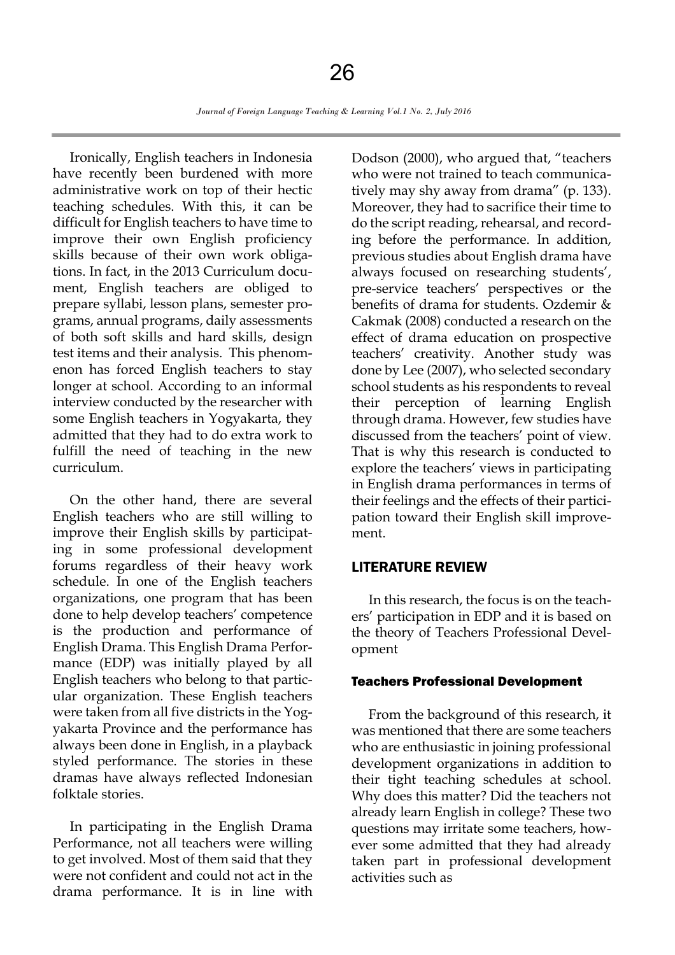Ironically, English teachers in Indonesia have recently been burdened with more administrative work on top of their hectic teaching schedules. With this, it can be difficult for English teachers to have time to improve their own English proficiency skills because of their own work obligations. In fact, in the 2013 Curriculum document, English teachers are obliged to prepare syllabi, lesson plans, semester programs, annual programs, daily assessments of both soft skills and hard skills, design test items and their analysis. This phenomenon has forced English teachers to stay longer at school. According to an informal interview conducted by the researcher with some English teachers in Yogyakarta, they admitted that they had to do extra work to fulfill the need of teaching in the new curriculum.

On the other hand, there are several English teachers who are still willing to improve their English skills by participating in some professional development forums regardless of their heavy work schedule. In one of the English teachers organizations, one program that has been done to help develop teachers' competence is the production and performance of English Drama. This English Drama Performance (EDP) was initially played by all English teachers who belong to that particular organization. These English teachers were taken from all five districts in the Yogyakarta Province and the performance has always been done in English, in a playback styled performance. The stories in these dramas have always reflected Indonesian folktale stories.

In participating in the English Drama Performance, not all teachers were willing to get involved. Most of them said that they were not confident and could not act in the drama performance. It is in line with Dodson (2000), who argued that, "teachers who were not trained to teach communicatively may shy away from drama" (p. 133). Moreover, they had to sacrifice their time to do the script reading, rehearsal, and recording before the performance. In addition, previous studies about English drama have always focused on researching students', pre-service teachers' perspectives or the benefits of drama for students. Ozdemir & Cakmak (2008) conducted a research on the effect of drama education on prospective teachers' creativity. Another study was done by Lee (2007), who selected secondary school students as his respondents to reveal their perception of learning English through drama. However, few studies have discussed from the teachers' point of view. That is why this research is conducted to explore the teachers' views in participating in English drama performances in terms of their feelings and the effects of their participation toward their English skill improvement.

#### LITERATURE REVIEW

In this research, the focus is on the teachers' participation in EDP and it is based on the theory of Teachers Professional Development

#### Teachers Professional Development

From the background of this research, it was mentioned that there are some teachers who are enthusiastic in joining professional development organizations in addition to their tight teaching schedules at school. Why does this matter? Did the teachers not already learn English in college? These two questions may irritate some teachers, however some admitted that they had already taken part in professional development activities such as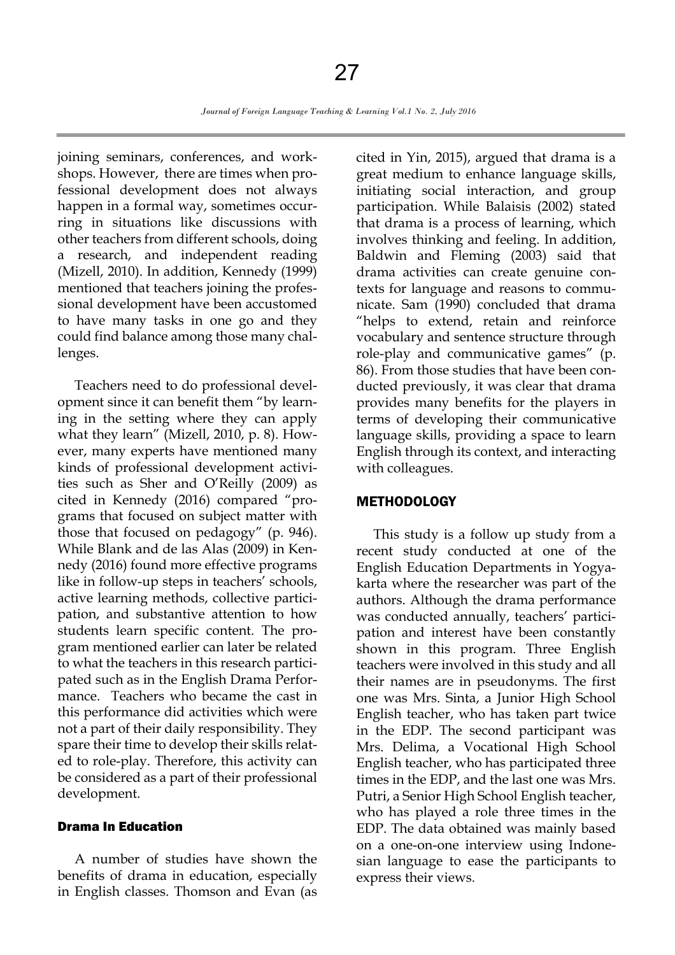joining seminars, conferences, and workshops. However, there are times when professional development does not always happen in a formal way, sometimes occurring in situations like discussions with other teachers from different schools, doing a research, and independent reading (Mizell, 2010). In addition, Kennedy (1999) mentioned that teachers joining the professional development have been accustomed to have many tasks in one go and they could find balance among those many challenges.

Teachers need to do professional development since it can benefit them "by learning in the setting where they can apply what they learn" (Mizell, 2010, p. 8). However, many experts have mentioned many kinds of professional development activities such as Sher and O'Reilly (2009) as cited in Kennedy (2016) compared "programs that focused on subject matter with those that focused on pedagogy" (p. 946). While Blank and de las Alas (2009) in Kennedy (2016) found more effective programs like in follow-up steps in teachers' schools, active learning methods, collective participation, and substantive attention to how students learn specific content. The program mentioned earlier can later be related to what the teachers in this research participated such as in the English Drama Performance. Teachers who became the cast in this performance did activities which were not a part of their daily responsibility. They spare their time to develop their skills related to role-play. Therefore, this activity can be considered as a part of their professional development.

#### Drama In Education

A number of studies have shown the benefits of drama in education, especially in English classes. Thomson and Evan (as cited in Yin, 2015), argued that drama is a great medium to enhance language skills, initiating social interaction, and group participation. While Balaisis (2002) stated that drama is a process of learning, which involves thinking and feeling. In addition, Baldwin and Fleming (2003) said that drama activities can create genuine contexts for language and reasons to communicate. Sam (1990) concluded that drama "helps to extend, retain and reinforce vocabulary and sentence structure through role-play and communicative games" (p. 86). From those studies that have been conducted previously, it was clear that drama provides many benefits for the players in terms of developing their communicative language skills, providing a space to learn English through its context, and interacting with colleagues.

#### **METHODOLOGY**

This study is a follow up study from a recent study conducted at one of the English Education Departments in Yogyakarta where the researcher was part of the authors. Although the drama performance was conducted annually, teachers' participation and interest have been constantly shown in this program. Three English teachers were involved in this study and all their names are in pseudonyms. The first one was Mrs. Sinta, a Junior High School English teacher, who has taken part twice in the EDP. The second participant was Mrs. Delima, a Vocational High School English teacher, who has participated three times in the EDP, and the last one was Mrs. Putri, a Senior High School English teacher, who has played a role three times in the EDP. The data obtained was mainly based on a one-on-one interview using Indonesian language to ease the participants to express their views.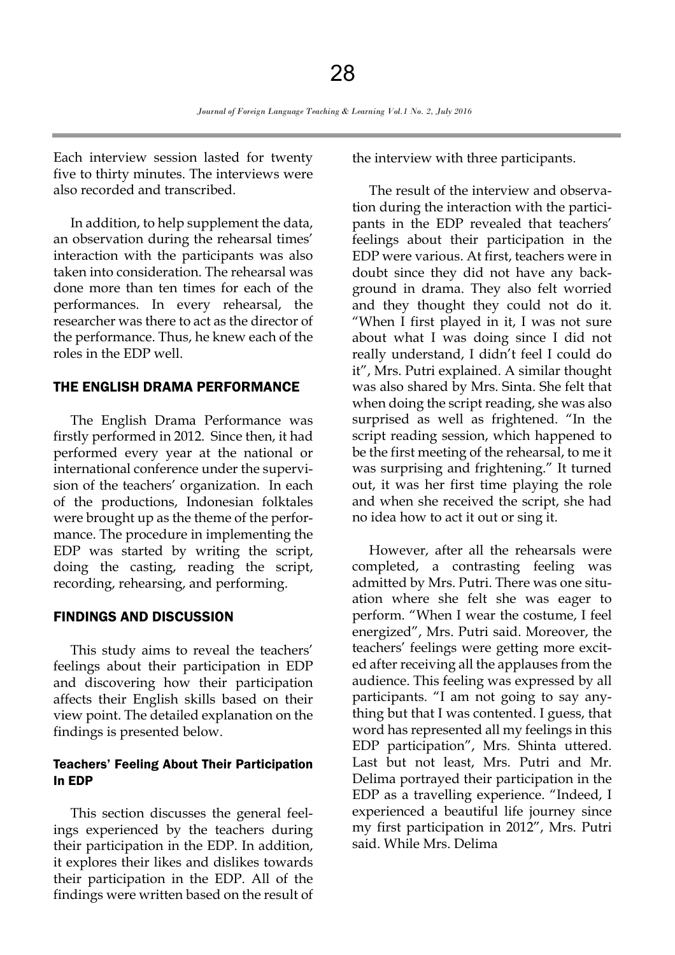Each interview session lasted for twenty five to thirty minutes. The interviews were also recorded and transcribed.

In addition, to help supplement the data, an observation during the rehearsal times' interaction with the participants was also taken into consideration. The rehearsal was done more than ten times for each of the performances. In every rehearsal, the researcher was there to act as the director of the performance. Thus, he knew each of the roles in the EDP well.

#### THE ENGLISH DRAMA PERFORMANCE

The English Drama Performance was firstly performed in 2012. Since then, it had performed every year at the national or international conference under the supervision of the teachers' organization. In each of the productions, Indonesian folktales were brought up as the theme of the performance. The procedure in implementing the EDP was started by writing the script, doing the casting, reading the script, recording, rehearsing, and performing.

#### FINDINGS AND DISCUSSION

This study aims to reveal the teachers' feelings about their participation in EDP and discovering how their participation affects their English skills based on their view point. The detailed explanation on the findings is presented below.

#### Teachers' Feeling About Their Participation In EDP

This section discusses the general feelings experienced by the teachers during their participation in the EDP. In addition, it explores their likes and dislikes towards their participation in the EDP. All of the findings were written based on the result of the interview with three participants.

The result of the interview and observation during the interaction with the participants in the EDP revealed that teachers' feelings about their participation in the EDP were various. At first, teachers were in doubt since they did not have any background in drama. They also felt worried and they thought they could not do it. "When I first played in it, I was not sure about what I was doing since I did not really understand, I didn't feel I could do it", Mrs. Putri explained. A similar thought was also shared by Mrs. Sinta. She felt that when doing the script reading, she was also surprised as well as frightened. "In the script reading session, which happened to be the first meeting of the rehearsal, to me it was surprising and frightening." It turned out, it was her first time playing the role and when she received the script, she had no idea how to act it out or sing it.

However, after all the rehearsals were completed, a contrasting feeling was admitted by Mrs. Putri. There was one situation where she felt she was eager to perform. "When I wear the costume, I feel energized", Mrs. Putri said. Moreover, the teachers' feelings were getting more excited after receiving all the applauses from the audience. This feeling was expressed by all participants. "I am not going to say anything but that I was contented. I guess, that word has represented all my feelings in this EDP participation", Mrs. Shinta uttered. Last but not least, Mrs. Putri and Mr. Delima portrayed their participation in the EDP as a travelling experience. "Indeed, I experienced a beautiful life journey since my first participation in 2012", Mrs. Putri said. While Mrs. Delima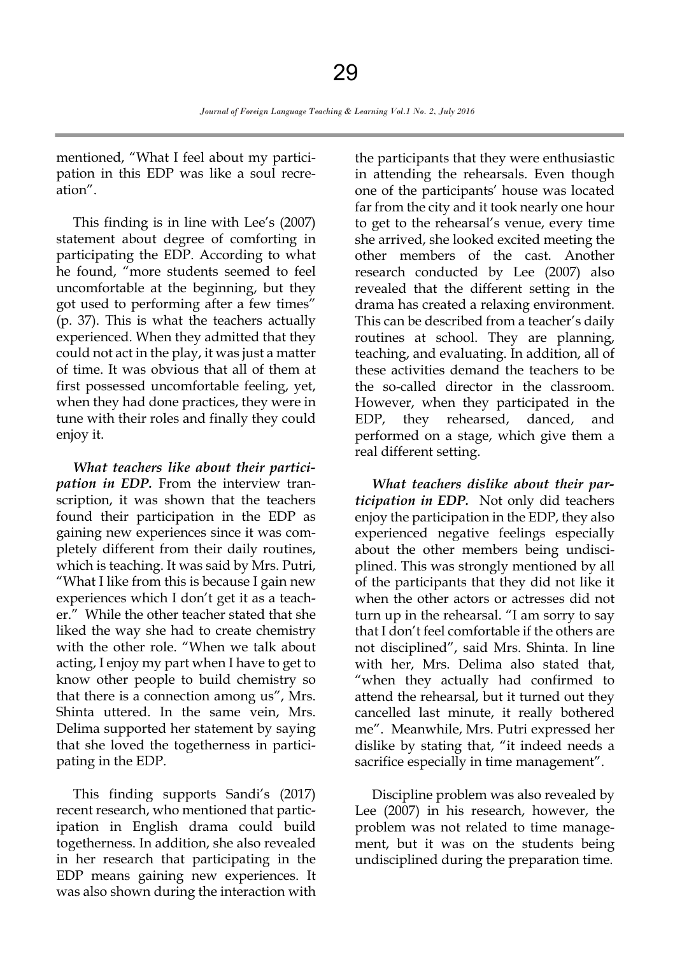mentioned, "What I feel about my participation in this EDP was like a soul recreation".

This finding is in line with Lee's (2007) statement about degree of comforting in participating the EDP. According to what he found, "more students seemed to feel uncomfortable at the beginning, but they got used to performing after a few times" (p. 37). This is what the teachers actually experienced. When they admitted that they could not act in the play, it was just a matter of time. It was obvious that all of them at first possessed uncomfortable feeling, yet, when they had done practices, they were in tune with their roles and finally they could enjoy it.

*What teachers like about their participation in EDP.* From the interview transcription, it was shown that the teachers found their participation in the EDP as gaining new experiences since it was completely different from their daily routines, which is teaching. It was said by Mrs. Putri, "What I like from this is because I gain new experiences which I don't get it as a teacher." While the other teacher stated that she liked the way she had to create chemistry with the other role. "When we talk about acting, I enjoy my part when I have to get to know other people to build chemistry so that there is a connection among us", Mrs. Shinta uttered. In the same vein, Mrs. Delima supported her statement by saying that she loved the togetherness in participating in the EDP.

This finding supports Sandi's (2017) recent research, who mentioned that participation in English drama could build togetherness. In addition, she also revealed in her research that participating in the EDP means gaining new experiences. It was also shown during the interaction with

the participants that they were enthusiastic in attending the rehearsals. Even though one of the participants' house was located far from the city and it took nearly one hour to get to the rehearsal's venue, every time she arrived, she looked excited meeting the other members of the cast. Another research conducted by Lee (2007) also revealed that the different setting in the drama has created a relaxing environment. This can be described from a teacher's daily routines at school. They are planning, teaching, and evaluating. In addition, all of these activities demand the teachers to be the so-called director in the classroom. However, when they participated in the EDP, they rehearsed, danced, and performed on a stage, which give them a real different setting.

*What teachers dislike about their participation in EDP.* Not only did teachers enjoy the participation in the EDP, they also experienced negative feelings especially about the other members being undisciplined. This was strongly mentioned by all of the participants that they did not like it when the other actors or actresses did not turn up in the rehearsal. "I am sorry to say that I don't feel comfortable if the others are not disciplined", said Mrs. Shinta. In line with her, Mrs. Delima also stated that, "when they actually had confirmed to attend the rehearsal, but it turned out they cancelled last minute, it really bothered me". Meanwhile, Mrs. Putri expressed her dislike by stating that, "it indeed needs a sacrifice especially in time management".

Discipline problem was also revealed by Lee (2007) in his research, however, the problem was not related to time management, but it was on the students being undisciplined during the preparation time.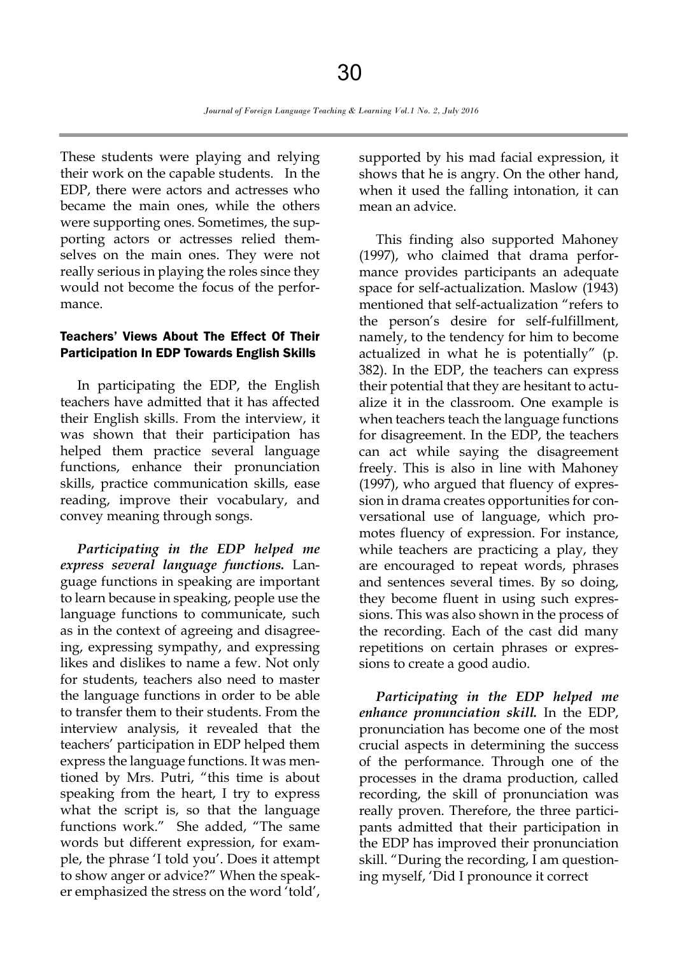These students were playing and relying their work on the capable students. In the EDP, there were actors and actresses who became the main ones, while the others were supporting ones. Sometimes, the supporting actors or actresses relied themselves on the main ones. They were not really serious in playing the roles since they would not become the focus of the performance.

#### Teachers' Views About The Effect Of Their Participation In EDP Towards English Skills

In participating the EDP, the English teachers have admitted that it has affected their English skills. From the interview, it was shown that their participation has helped them practice several language functions, enhance their pronunciation skills, practice communication skills, ease reading, improve their vocabulary, and convey meaning through songs.

*Participating in the EDP helped me express several language functions.* Language functions in speaking are important to learn because in speaking, people use the language functions to communicate, such as in the context of agreeing and disagreeing, expressing sympathy, and expressing likes and dislikes to name a few. Not only for students, teachers also need to master the language functions in order to be able to transfer them to their students. From the interview analysis, it revealed that the teachers' participation in EDP helped them express the language functions. It was mentioned by Mrs. Putri, "this time is about speaking from the heart, I try to express what the script is, so that the language functions work." She added, "The same words but different expression, for example, the phrase 'I told you'. Does it attempt to show anger or advice?" When the speaker emphasized the stress on the word 'told',

supported by his mad facial expression, it shows that he is angry. On the other hand, when it used the falling intonation, it can mean an advice.

This finding also supported Mahoney (1997), who claimed that drama performance provides participants an adequate space for self-actualization. Maslow (1943) mentioned that self-actualization "refers to the person's desire for self-fulfillment, namely, to the tendency for him to become actualized in what he is potentially" (p. 382). In the EDP, the teachers can express their potential that they are hesitant to actualize it in the classroom. One example is when teachers teach the language functions for disagreement. In the EDP, the teachers can act while saying the disagreement freely. This is also in line with Mahoney (1997), who argued that fluency of expression in drama creates opportunities for conversational use of language, which promotes fluency of expression. For instance, while teachers are practicing a play, they are encouraged to repeat words, phrases and sentences several times. By so doing, they become fluent in using such expressions. This was also shown in the process of the recording. Each of the cast did many repetitions on certain phrases or expressions to create a good audio.

*Participating in the EDP helped me enhance pronunciation skill.* In the EDP, pronunciation has become one of the most crucial aspects in determining the success of the performance. Through one of the processes in the drama production, called recording, the skill of pronunciation was really proven. Therefore, the three participants admitted that their participation in the EDP has improved their pronunciation skill. "During the recording, I am questioning myself, 'Did I pronounce it correct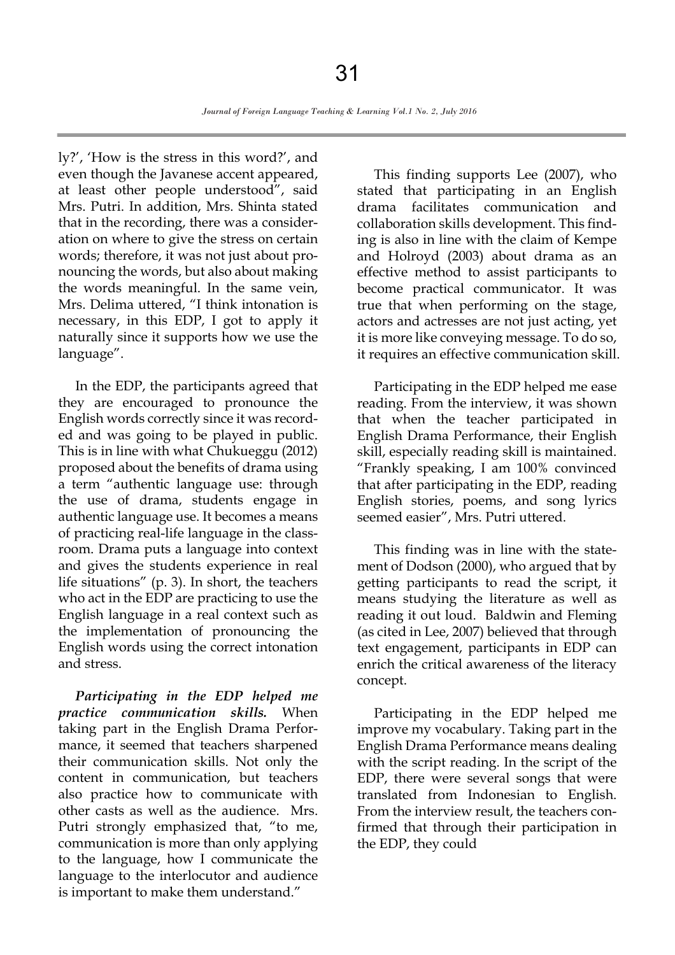ly?', 'How is the stress in this word?', and even though the Javanese accent appeared, at least other people understood", said Mrs. Putri. In addition, Mrs. Shinta stated that in the recording, there was a consideration on where to give the stress on certain words; therefore, it was not just about pronouncing the words, but also about making the words meaningful. In the same vein, Mrs. Delima uttered, "I think intonation is necessary, in this EDP, I got to apply it naturally since it supports how we use the language".

In the EDP, the participants agreed that they are encouraged to pronounce the English words correctly since it was recorded and was going to be played in public. This is in line with what Chukueggu (2012) proposed about the benefits of drama using a term "authentic language use: through the use of drama, students engage in authentic language use. It becomes a means of practicing real-life language in the classroom. Drama puts a language into context and gives the students experience in real life situations" (p. 3). In short, the teachers who act in the EDP are practicing to use the English language in a real context such as the implementation of pronouncing the English words using the correct intonation and stress.

*Participating in the EDP helped me practice communication skills.* When taking part in the English Drama Performance, it seemed that teachers sharpened their communication skills. Not only the content in communication, but teachers also practice how to communicate with other casts as well as the audience. Mrs. Putri strongly emphasized that, "to me, communication is more than only applying to the language, how I communicate the language to the interlocutor and audience is important to make them understand."

This finding supports Lee (2007), who stated that participating in an English drama facilitates communication and collaboration skills development. This finding is also in line with the claim of Kempe and Holroyd (2003) about drama as an effective method to assist participants to become practical communicator. It was true that when performing on the stage, actors and actresses are not just acting, yet it is more like conveying message. To do so, it requires an effective communication skill.

Participating in the EDP helped me ease reading. From the interview, it was shown that when the teacher participated in English Drama Performance, their English skill, especially reading skill is maintained. "Frankly speaking, I am 100% convinced that after participating in the EDP, reading English stories, poems, and song lyrics seemed easier", Mrs. Putri uttered.

This finding was in line with the statement of Dodson (2000), who argued that by getting participants to read the script, it means studying the literature as well as reading it out loud. Baldwin and Fleming (as cited in Lee, 2007) believed that through text engagement, participants in EDP can enrich the critical awareness of the literacy concept.

Participating in the EDP helped me improve my vocabulary. Taking part in the English Drama Performance means dealing with the script reading. In the script of the EDP, there were several songs that were translated from Indonesian to English. From the interview result, the teachers confirmed that through their participation in the EDP, they could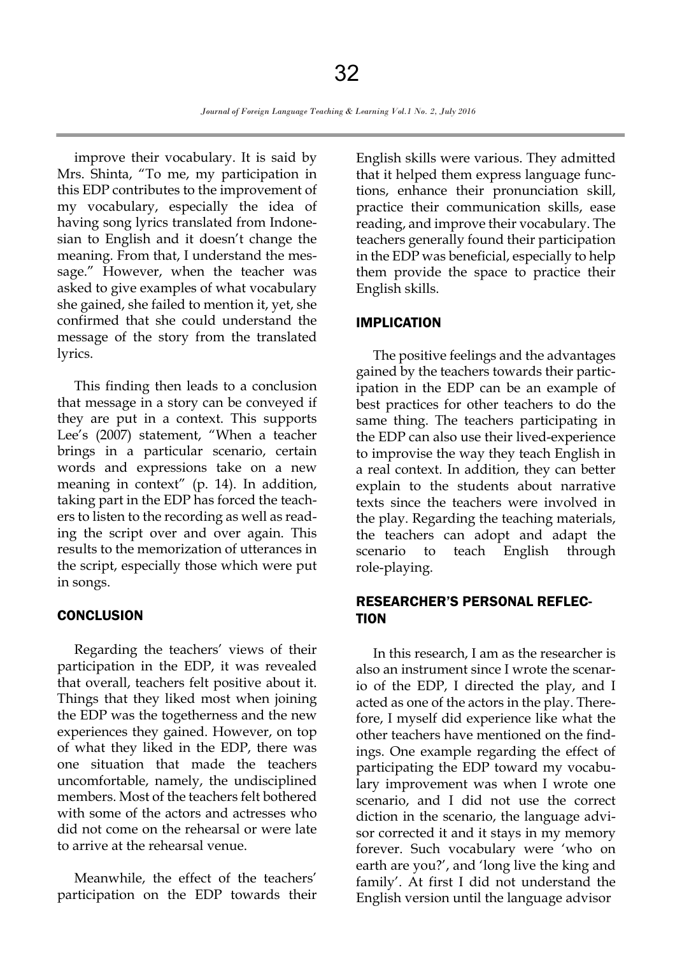improve their vocabulary. It is said by Mrs. Shinta, "To me, my participation in this EDP contributes to the improvement of my vocabulary, especially the idea of having song lyrics translated from Indonesian to English and it doesn't change the meaning. From that, I understand the message." However, when the teacher was asked to give examples of what vocabulary she gained, she failed to mention it, yet, she confirmed that she could understand the message of the story from the translated lyrics.

This finding then leads to a conclusion that message in a story can be conveyed if they are put in a context. This supports Lee's (2007) statement, "When a teacher brings in a particular scenario, certain words and expressions take on a new meaning in context" (p. 14). In addition, taking part in the EDP has forced the teachers to listen to the recording as well as reading the script over and over again. This results to the memorization of utterances in the script, especially those which were put in songs.

#### **CONCLUSION**

Regarding the teachers' views of their participation in the EDP, it was revealed that overall, teachers felt positive about it. Things that they liked most when joining the EDP was the togetherness and the new experiences they gained. However, on top of what they liked in the EDP, there was one situation that made the teachers uncomfortable, namely, the undisciplined members. Most of the teachers felt bothered with some of the actors and actresses who did not come on the rehearsal or were late to arrive at the rehearsal venue.

Meanwhile, the effect of the teachers' participation on the EDP towards their English skills were various. They admitted that it helped them express language functions, enhance their pronunciation skill, practice their communication skills, ease reading, and improve their vocabulary. The teachers generally found their participation in the EDP was beneficial, especially to help them provide the space to practice their English skills.

#### IMPLICATION

The positive feelings and the advantages gained by the teachers towards their participation in the EDP can be an example of best practices for other teachers to do the same thing. The teachers participating in the EDP can also use their lived-experience to improvise the way they teach English in a real context. In addition, they can better explain to the students about narrative texts since the teachers were involved in the play. Regarding the teaching materials, the teachers can adopt and adapt the scenario to teach English through role-playing.

## RESEARCHER'S PERSONAL REFLEC-**TION**

In this research, I am as the researcher is also an instrument since I wrote the scenario of the EDP, I directed the play, and I acted as one of the actors in the play. Therefore, I myself did experience like what the other teachers have mentioned on the findings. One example regarding the effect of participating the EDP toward my vocabulary improvement was when I wrote one scenario, and I did not use the correct diction in the scenario, the language advisor corrected it and it stays in my memory forever. Such vocabulary were 'who on earth are you?', and 'long live the king and family'. At first I did not understand the English version until the language advisor